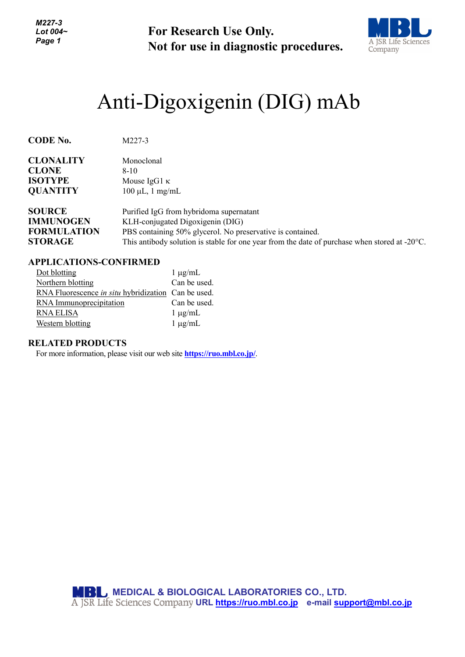*M227-3 Lot 004~ Page 1*

**For Research Use Only. Not for use in diagnostic procedures.**



# Anti-Digoxigenin (DIG) mAb

| <b>CODE No.</b>    | M227-3                                                                                                  |
|--------------------|---------------------------------------------------------------------------------------------------------|
| <b>CLONALITY</b>   | Monoclonal                                                                                              |
| <b>CLONE</b>       | $8-10$                                                                                                  |
| <b>ISOTYPE</b>     | Mouse $IgG1 \kappa$                                                                                     |
| <b>QUANTITY</b>    | $100 \mu L$ , 1 mg/mL                                                                                   |
| <b>SOURCE</b>      | Purified IgG from hybridoma supernatant                                                                 |
| <b>IMMUNOGEN</b>   | KLH-conjugated Digoxigenin (DIG)                                                                        |
| <b>FORMULATION</b> | PBS containing 50% glycerol. No preservative is contained.                                              |
| <b>STORAGE</b>     | This antibody solution is stable for one year from the date of purchase when stored at $-20^{\circ}$ C. |

## **APPLICATIONS-CONFIRMED**

| Dot blotting                                        | $1 \mu g/mL$ |
|-----------------------------------------------------|--------------|
| Northern blotting                                   | Can be used. |
| RNA Fluorescence in situ hybridization Can be used. |              |
| RNA Immunoprecipitation                             | Can be used. |
| RNA ELISA                                           | $1 \mu g/mL$ |
| Western blotting                                    | $1 \mu g/mL$ |

### **RELATED PRODUCTS**

For more information, please visit our web site **<https://ruo.mbl.co.jp/>**.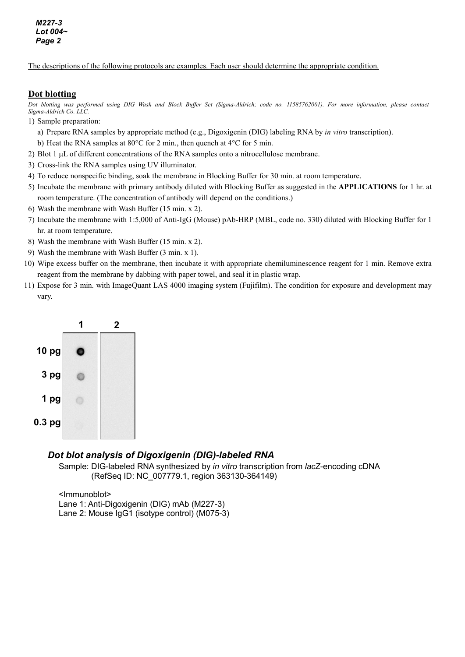The descriptions of the following protocols are examples. Each user should determine the appropriate condition.

### **Dot blotting**

*Dot blotting was performed using DIG Wash and Block Buffer Set (Sigma-Aldrich; code no. 11585762001). For more information, please contact Sigma-Aldrich Co. LLC.*

- 1) Sample preparation:
	- a) Prepare RNA samples by appropriate method (e.g., Digoxigenin (DIG) labeling RNA by *in vitro* transcription).
	- b) Heat the RNA samples at 80°C for 2 min., then quench at 4°C for 5 min.
- 2) Blot 1 µL of different concentrations of the RNA samples onto a nitrocellulose membrane.
- 3) Cross-link the RNA samples using UV illuminator.
- 4) To reduce nonspecific binding, soak the membrane in Blocking Buffer for 30 min. at room temperature.
- 5) Incubate the membrane with primary antibody diluted with Blocking Buffer as suggested in the **APPLICATIONS** for 1 hr. at room temperature. (The concentration of antibody will depend on the conditions.)
- 6) Wash the membrane with Wash Buffer (15 min. x 2).
- 7) Incubate the membrane with 1:5,000 of Anti-IgG (Mouse) pAb-HRP (MBL, code no. 330) diluted with Blocking Buffer for 1 hr. at room temperature.
- 8) Wash the membrane with Wash Buffer (15 min. x 2).
- 9) Wash the membrane with Wash Buffer (3 min. x 1).
- 10) Wipe excess buffer on the membrane, then incubate it with appropriate chemiluminescence reagent for 1 min. Remove extra reagent from the membrane by dabbing with paper towel, and seal it in plastic wrap.
- 11) Expose for 3 min. with ImageQuant LAS 4000 imaging system (Fujifilm). The condition for exposure and development may vary.



### *Dot blot analysis of Digoxigenin (DIG)-labeled RNA*

Sample: DIG-labeled RNA synthesized by *in vitro* transcription from *lacZ*-encoding cDNA (RefSeq ID: NC\_007779.1, region 363130-364149)

<Immunoblot> Lane 1: Anti-Digoxigenin (DIG) mAb (M227-3) Lane 2: Mouse IgG1 (isotype control) (M075-3)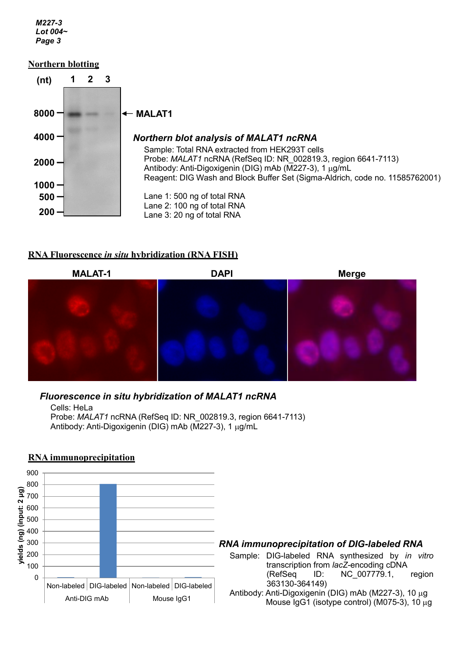*M227-3 Lot 004~ Page 3*

## **Northern blotting**



## **RNA Fluorescence** *in situ* **hybridization (RNA FISH)**



# *Fluorescence in situ hybridization of MALAT1 ncRNA*

Cells: HeLa Probe: *MALAT1* ncRNA (RefSeq ID: NR\_002819.3, region 6641-7113) Antibody: Anti-Digoxigenin (DIG) mAb (M227-3), 1 µg/mL

## **RNA immunoprecipitation**



## *RNA immunoprecipitation of DIG-labeled RNA*

Sample: DIG-labeled RNA synthesized by *in vitro* transcription from *lacZ*-encoding cDNA (RefSeq ID: NC\_007779.1, region 363130-364149) Antibody: Anti-Digoxigenin (DIG) mAb (M227-3), 10 µg

Mouse IgG1 (isotype control) (M075-3), 10 µg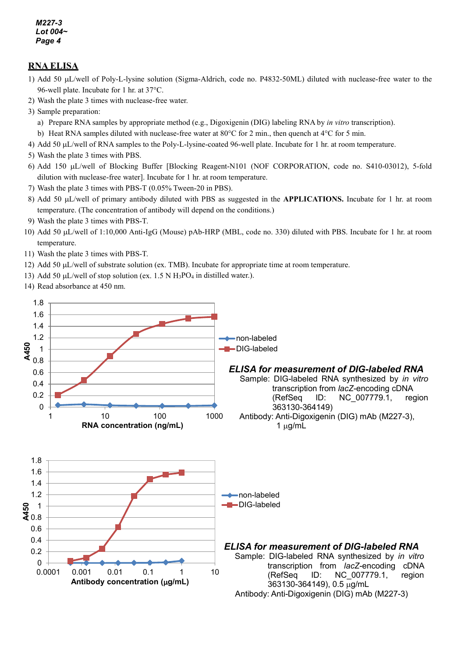*M227-3 Lot 004~ Page 4*

# **RNA ELISA**

- 1) Add 50 µL/well of Poly-L-lysine solution (Sigma-Aldrich, code no. P4832-50ML) diluted with nuclease-free water to the 96-well plate. Incubate for 1 hr. at 37°C.
- 2) Wash the plate 3 times with nuclease-free water.
- 3) Sample preparation:
	- a) Prepare RNA samples by appropriate method (e.g., Digoxigenin (DIG) labeling RNA by *in vitro* transcription).
- b) Heat RNA samples diluted with nuclease-free water at 80°C for 2 min., then quench at 4°C for 5 min.
- 4) Add 50 µL/well of RNA samples to the Poly-L-lysine-coated 96-well plate. Incubate for 1 hr. at room temperature.
- 5) Wash the plate 3 times with PBS.
- 6) Add 150 µL/well of Blocking Buffer [Blocking Reagent-N101 (NOF CORPORATION, code no. S410-03012), 5-fold dilution with nuclease-free water]. Incubate for 1 hr. at room temperature.
- 7) Wash the plate 3 times with PBS-T (0.05% Tween-20 in PBS).
- 8) Add 50 µL/well of primary antibody diluted with PBS as suggested in the **APPLICATIONS.** Incubate for 1 hr. at room temperature. (The concentration of antibody will depend on the conditions.)
- 9) Wash the plate 3 times with PBS-T.
- 10) Add 50 µL/well of 1:10,000 Anti-IgG (Mouse) pAb-HRP (MBL, code no. 330) diluted with PBS. Incubate for 1 hr. at room temperature.
- 11) Wash the plate 3 times with PBS-T.
- 12) Add 50 µL/well of substrate solution (ex. TMB). Incubate for appropriate time at room temperature.
- 13) Add 50  $\mu$ L/well of stop solution (ex. 1.5 N H<sub>3</sub>PO<sub>4</sub> in distilled water.).
- 14) Read absorbance at 450 nm.